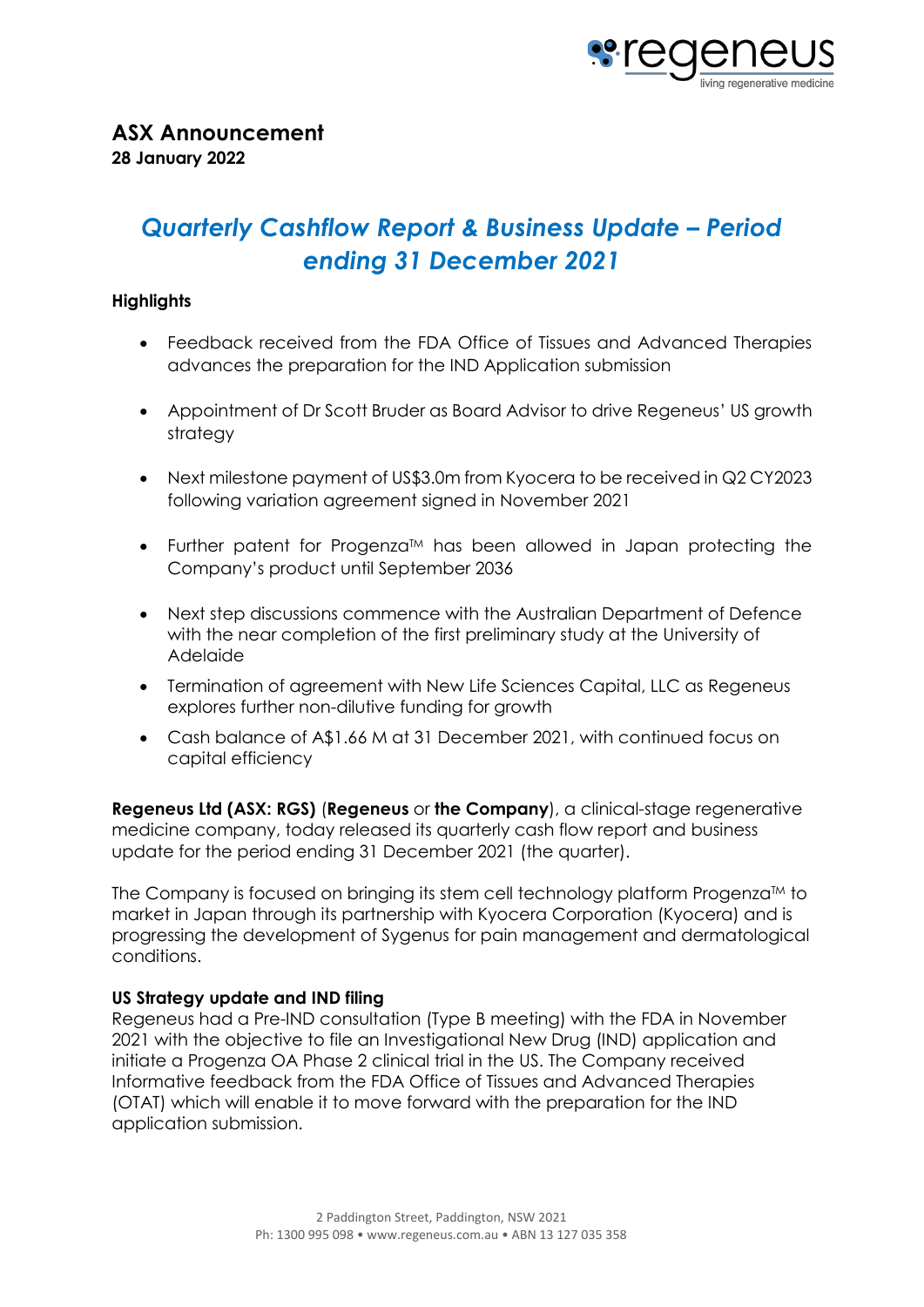

# *Quarterly Cashflow Report & Business Update – Period ending 31 December 2021*

## **Highlights**

- Feedback received from the FDA Office of Tissues and Advanced Therapies advances the preparation for the IND Application submission
- Appointment of Dr Scott Bruder as Board Advisor to drive Regeneus' US growth strategy
- Next milestone payment of US\$3.0m from Kyocera to be received in Q2 CY2023 following variation agreement signed in November 2021
- Further patent for Progenza<sup>TM</sup> has been allowed in Japan protecting the Company's product until September 2036
- Next step discussions commence with the Australian Department of Defence with the near completion of the first preliminary study at the University of Adelaide
- Termination of agreement with New Life Sciences Capital, LLC as Regeneus explores further non-dilutive funding for growth
- Cash balance of A\$1.66 M at 31 December 2021, with continued focus on capital efficiency

**Regeneus Ltd (ASX: RGS)** (**Regeneus** or **the Company**), a clinical-stage regenerative medicine company, today released its quarterly cash flow report and business update for the period ending 31 December 2021 (the quarter).

The Company is focused on bringing its stem cell technology platform Progenza $\mathbb{M}$  to market in Japan through its partnership with Kyocera Corporation (Kyocera) and is progressing the development of Sygenus for pain management and dermatological conditions.

## **US Strategy update and IND filing**

Regeneus had a Pre-IND consultation (Type B meeting) with the FDA in November 2021 with the objective to file an Investigational New Drug (IND) application and initiate a Progenza OA Phase 2 clinical trial in the US. The Company received Informative feedback from the FDA Office of Tissues and Advanced Therapies (OTAT) which will enable it to move forward with the preparation for the IND application submission.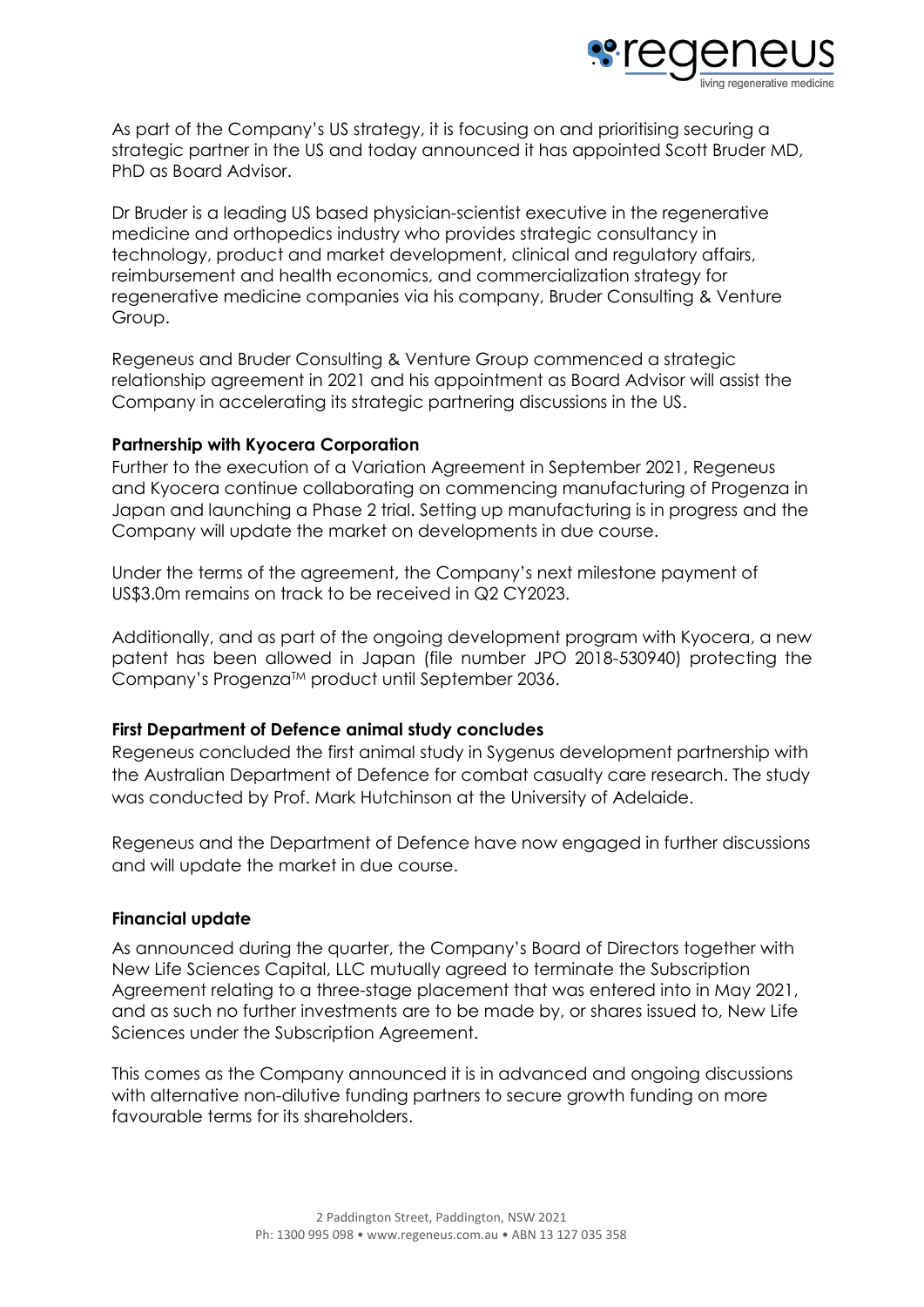

As part of the Company's US strategy, it is focusing on and prioritising securing a strategic partner in the US and today announced it has appointed Scott Bruder MD, PhD as Board Advisor.

Dr Bruder is a leading US based physician-scientist executive in the regenerative medicine and orthopedics industry who provides strategic consultancy in technology, product and market development, clinical and regulatory affairs, reimbursement and health economics, and commercialization strategy for regenerative medicine companies via his company, Bruder Consulting & Venture Group.

Regeneus and Bruder Consulting & Venture Group commenced a strategic relationship agreement in 2021 and his appointment as Board Advisor will assist the Company in accelerating its strategic partnering discussions in the US.

## **Partnership with Kyocera Corporation**

Further to the execution of a Variation Agreement in September 2021, Regeneus and Kyocera continue collaborating on commencing manufacturing of Progenza in Japan and launching a Phase 2 trial. Setting up manufacturing is in progress and the Company will update the market on developments in due course.

Under the terms of the agreement, the Company's next milestone payment of US\$3.0m remains on track to be received in Q2 CY2023.

Additionally, and as part of the ongoing development program with Kyocera, a new patent has been allowed in Japan (file number JPO 2018-530940) protecting the Company's Progenza™ product until September 2036.

## **First Department of Defence animal study concludes**

Regeneus concluded the first animal study in Sygenus development partnership with the Australian Department of Defence for combat casualty care research. The study was conducted by Prof. Mark Hutchinson at the University of Adelaide.

Regeneus and the Department of Defence have now engaged in further discussions and will update the market in due course.

## **Financial update**

As announced during the quarter, the Company's Board of Directors together with New Life Sciences Capital, LLC mutually agreed to terminate the Subscription Agreement relating to a three-stage placement that was entered into in May 2021, and as such no further investments are to be made by, or shares issued to, New Life Sciences under the Subscription Agreement.

This comes as the Company announced it is in advanced and ongoing discussions with alternative non-dilutive funding partners to secure growth funding on more favourable terms for its shareholders.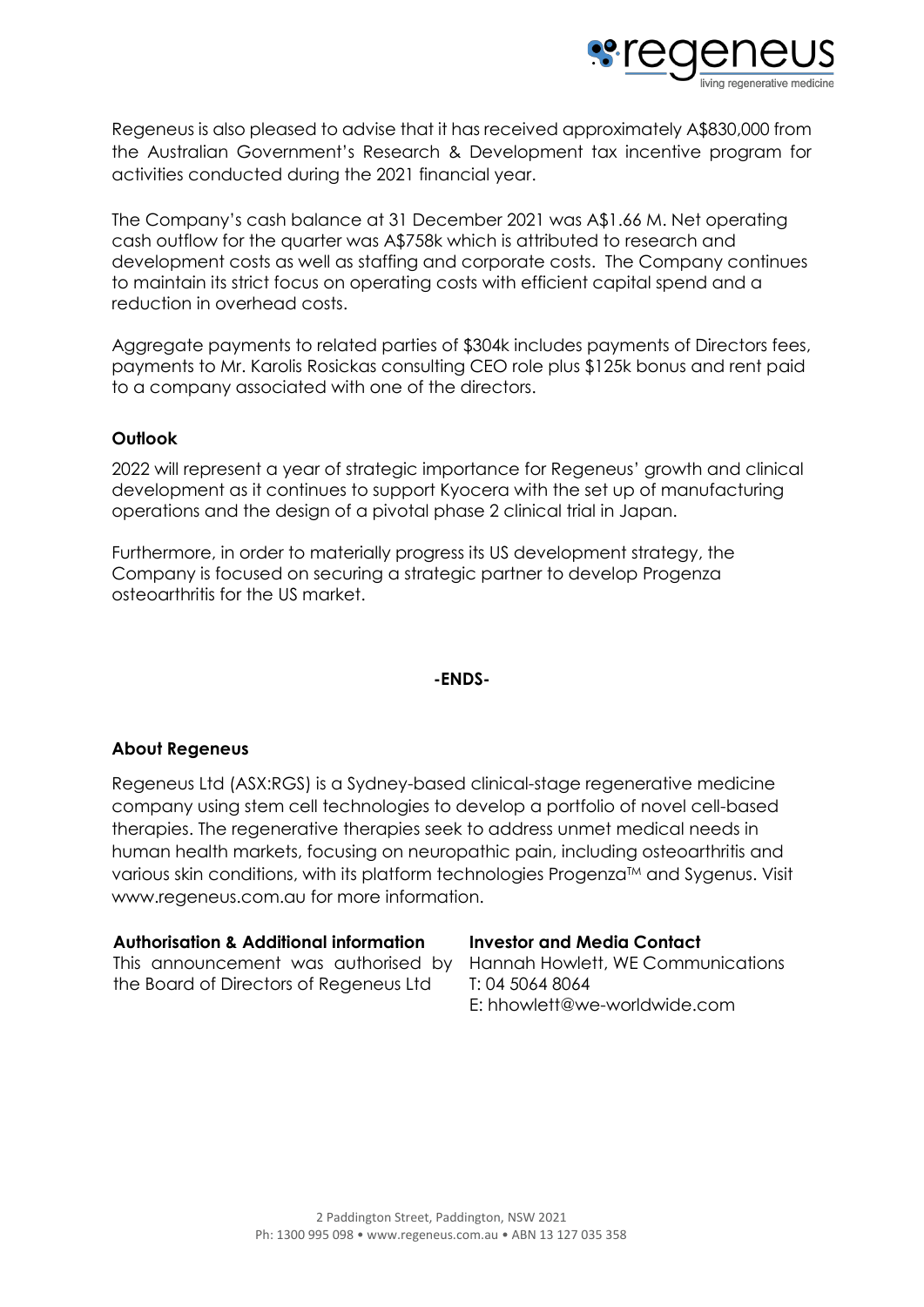

Regeneus is also pleased to advise that it has received approximately A\$830,000 from the Australian Government's Research & Development tax incentive program for activities conducted during the 2021 financial year.

The Company's cash balance at 31 December 2021 was A\$1.66 M. Net operating cash outflow for the quarter was A\$758k which is attributed to research and development costs as well as staffing and corporate costs. The Company continues to maintain its strict focus on operating costs with efficient capital spend and a reduction in overhead costs.

Aggregate payments to related parties of \$304k includes payments of Directors fees, payments to Mr. Karolis Rosickas consulting CEO role plus \$125k bonus and rent paid to a company associated with one of the directors.

## **Outlook**

2022 will represent a year of strategic importance for Regeneus' growth and clinical development as it continues to support Kyocera with the set up of manufacturing operations and the design of a pivotal phase 2 clinical trial in Japan.

Furthermore, in order to materially progress its US development strategy, the Company is focused on securing a strategic partner to develop Progenza osteoarthritis for the US market.

## **-ENDS-**

## **About Regeneus**

Regeneus Ltd (ASX:RGS) is a Sydney-based clinical-stage regenerative medicine company using stem cell technologies to develop a portfolio of novel cell-based therapies. The regenerative therapies seek to address unmet medical needs in human health markets, focusing on neuropathic pain, including osteoarthritis and various skin conditions, with its platform technologies Progenza<sup>TM</sup> and Sygenus. Visit www.regeneus.com.au for more information.

### **Authorisation & Additional information**

This announcement was authorised by the Board of Directors of Regeneus Ltd

### **Investor and Media Contact**

Hannah Howlett, WE Communications T: 04 5064 8064 E: hhowlett@we-worldwide.com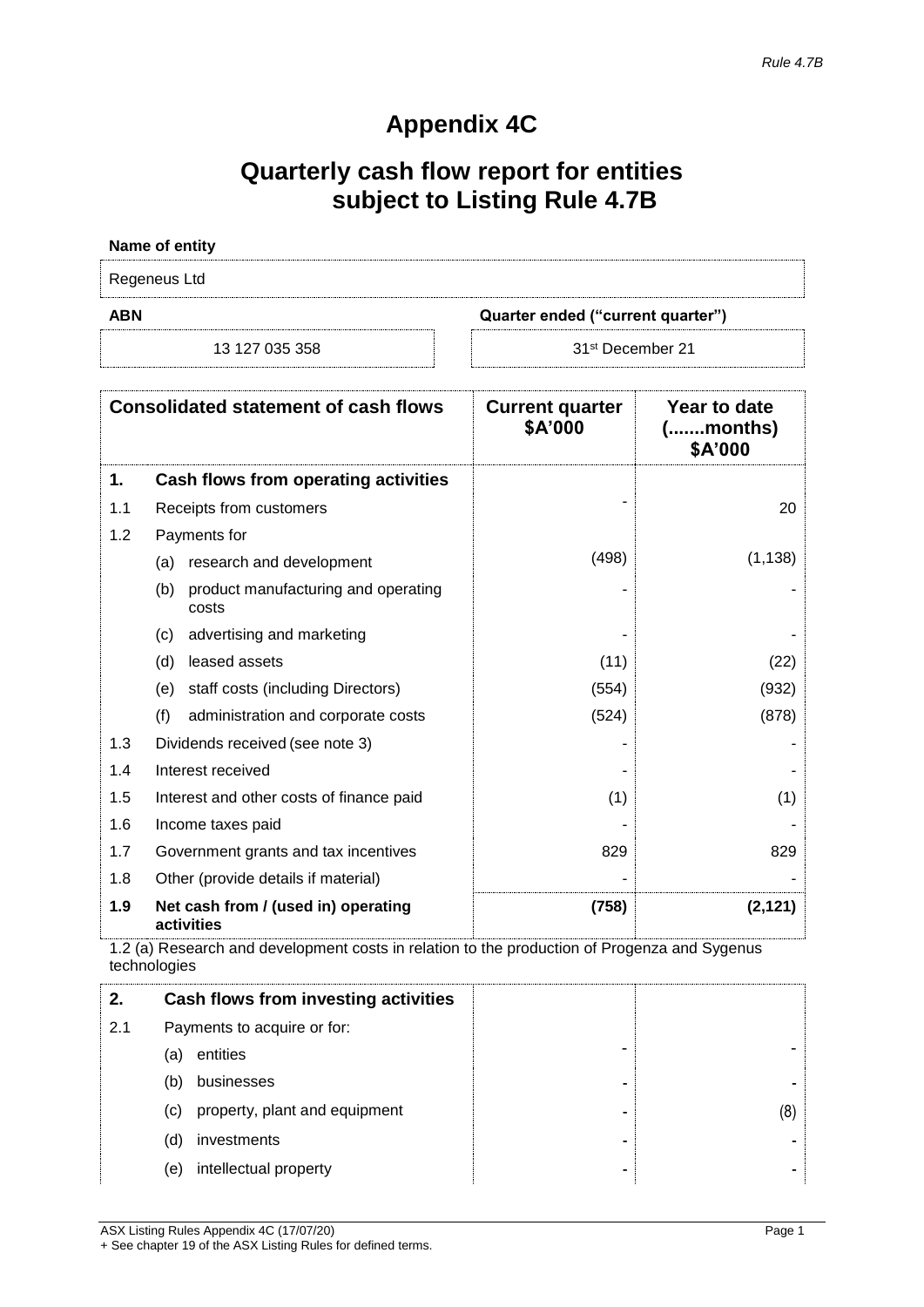## **Appendix 4C**

## **Quarterly cash flow report for entities subject to Listing Rule 4.7B**

## **Name of entity** Regeneus Ltd **ABN Quarter ended ("current quarter")**

13 127 035 358

31<sup>st</sup> December 21

| <b>Consolidated statement of cash flows</b> |                                                     | <b>Current quarter</b><br>\$A'000 | Year to date<br>(months)<br>\$A'000 |
|---------------------------------------------|-----------------------------------------------------|-----------------------------------|-------------------------------------|
| 1.                                          | Cash flows from operating activities                |                                   |                                     |
| 1.1                                         | Receipts from customers                             |                                   | 20                                  |
| 1.2                                         | Payments for                                        |                                   |                                     |
|                                             | research and development<br>(a)                     | (498)                             | (1, 138)                            |
|                                             | product manufacturing and operating<br>(b)<br>costs |                                   |                                     |
|                                             | advertising and marketing<br>(c)                    |                                   |                                     |
|                                             | leased assets<br>(d)                                | (11)                              | (22)                                |
|                                             | staff costs (including Directors)<br>(e)            | (554)                             | (932)                               |
|                                             | (f)<br>administration and corporate costs           | (524)                             | (878)                               |
| 1.3                                         | Dividends received (see note 3)                     |                                   |                                     |
| 1.4                                         | Interest received                                   |                                   |                                     |
| 1.5                                         | Interest and other costs of finance paid            | (1)                               | (1)                                 |
| 1.6                                         | Income taxes paid                                   |                                   |                                     |
| 1.7                                         | Government grants and tax incentives                | 829                               | 829                                 |
| 1.8                                         | Other (provide details if material)                 |                                   |                                     |
| 1.9                                         | Net cash from / (used in) operating<br>activities   | (758)                             | (2, 121)                            |

1.2 (a) Research and development costs in relation to the production of Progenza and Sygenus technologies

| 2.  | Cash flows from investing activities |   |    |
|-----|--------------------------------------|---|----|
| 2.1 | Payments to acquire or for:          |   |    |
|     | entities<br>(a)                      | - |    |
|     | businesses<br>(b)                    | ۰ |    |
|     | property, plant and equipment<br>(c) |   | 8) |
|     | investments<br>(d)                   |   |    |
|     | intellectual property<br>(e)         |   |    |

ASX Listing Rules Appendix 4C (17/07/20) Page 1 + See chapter 19 of the ASX Listing Rules for defined terms.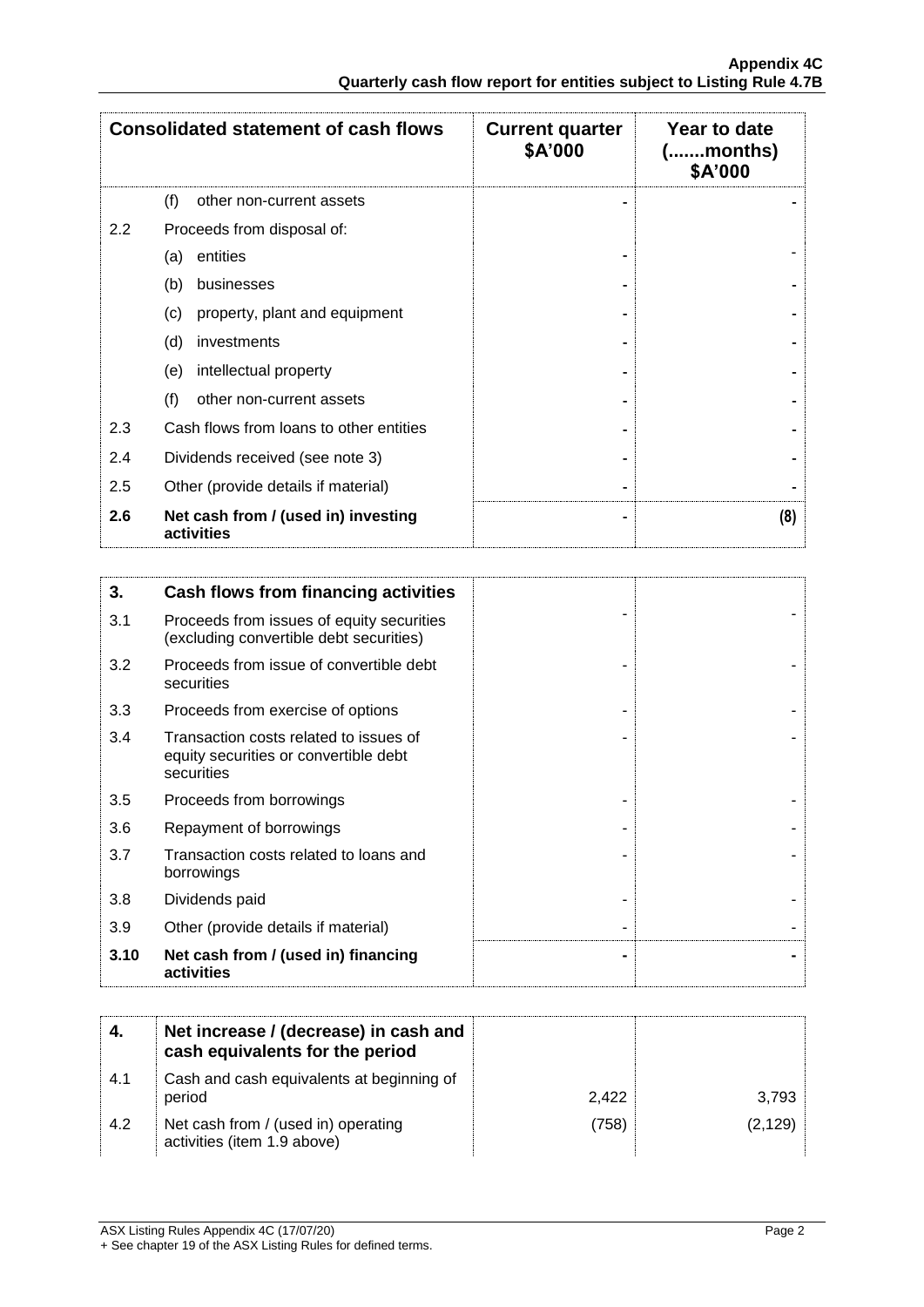|     | <b>Consolidated statement of cash flows</b>                                                   | <b>Current quarter</b><br>\$A'000 | Year to date<br>( <i>month</i> s)<br>\$A'000 |
|-----|-----------------------------------------------------------------------------------------------|-----------------------------------|----------------------------------------------|
|     | (f)<br>other non-current assets                                                               |                                   |                                              |
| 2.2 | Proceeds from disposal of:                                                                    |                                   |                                              |
|     | entities<br>(a)                                                                               |                                   |                                              |
|     | (b)<br>businesses                                                                             |                                   |                                              |
|     | property, plant and equipment<br>(c)                                                          |                                   |                                              |
|     | (d)<br>investments                                                                            |                                   |                                              |
|     | intellectual property<br>(e)                                                                  |                                   |                                              |
|     | (f)<br>other non-current assets                                                               |                                   |                                              |
| 2.3 | Cash flows from loans to other entities                                                       |                                   |                                              |
| 2.4 | Dividends received (see note 3)                                                               |                                   |                                              |
| 2.5 | Other (provide details if material)                                                           |                                   |                                              |
| 2.6 | Net cash from / (used in) investing<br>activities                                             |                                   | (8)                                          |
|     |                                                                                               |                                   |                                              |
| 3.  | <b>Cash flows from financing activities</b>                                                   |                                   |                                              |
| 3.1 | Proceeds from issues of equity securities<br>(excluding convertible debt securities)          |                                   |                                              |
| 3.2 | Proceeds from issue of convertible debt<br>securities                                         |                                   |                                              |
| 3.3 | Proceeds from exercise of options                                                             |                                   |                                              |
| 3.4 | Transaction costs related to issues of<br>equity securities or convertible debt<br>securities |                                   |                                              |
| 3.5 | Proceeds from borrowings                                                                      |                                   |                                              |
| 3.6 | Repayment of borrowings                                                                       |                                   |                                              |
|     |                                                                                               |                                   |                                              |

| 3.10 | Net cash from / (used in) financing<br>activities    | $\overline{\phantom{0}}$ |  |
|------|------------------------------------------------------|--------------------------|--|
| 3.9  | Other (provide details if material)                  | -                        |  |
| 3.8  | Dividends paid                                       | -                        |  |
| 3.7  | Transaction costs related to loans and<br>borrowings | -                        |  |
|      |                                                      |                          |  |

|     | Net increase / (decrease) in cash and<br>cash equivalents for the period |       |          |
|-----|--------------------------------------------------------------------------|-------|----------|
| 4.1 | Cash and cash equivalents at beginning of<br>period                      | 2.422 | 3.793    |
| 4.2 | Net cash from / (used in) operating<br>activities (item 1.9 above)       | (758) | (2, 129) |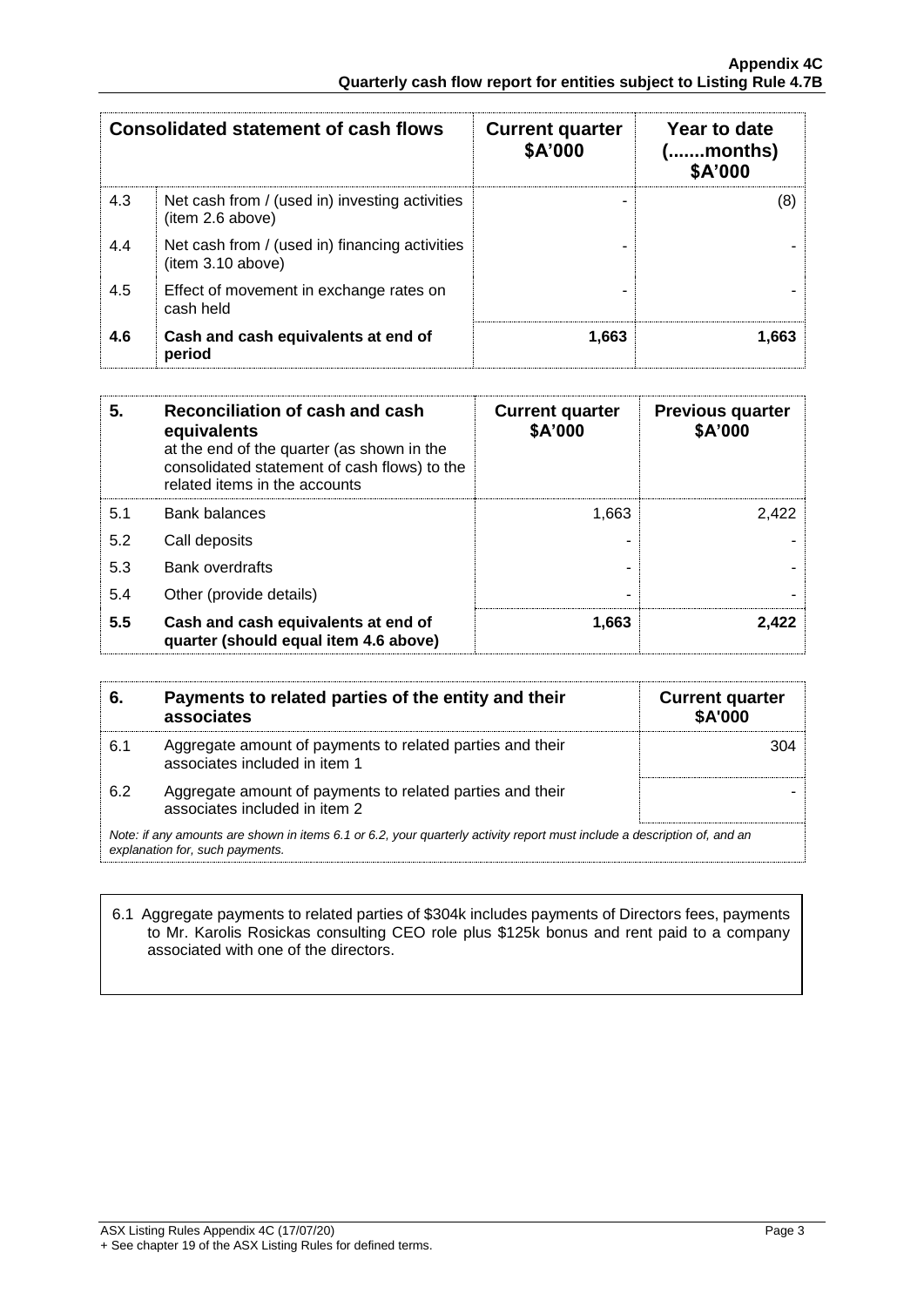| <b>Consolidated statement of cash flows</b> |                                                                     | <b>Current quarter</b><br>\$A'000 | Year to date<br>.months)<br>\$A'000 |
|---------------------------------------------|---------------------------------------------------------------------|-----------------------------------|-------------------------------------|
| 4.3                                         | Net cash from / (used in) investing activities<br>(item 2.6 above)  |                                   | (8)                                 |
| 4.4                                         | Net cash from / (used in) financing activities<br>(item 3.10 above) |                                   |                                     |
| 4.5                                         | Effect of movement in exchange rates on<br>cash held                |                                   |                                     |
| 4.6                                         | Cash and cash equivalents at end of<br>period                       | 1.663                             | 1.663                               |

| 5.  | Reconciliation of cash and cash<br>equivalents<br>at the end of the quarter (as shown in the<br>consolidated statement of cash flows) to the<br>related items in the accounts | <b>Current quarter</b><br>\$A'000 | <b>Previous quarter</b><br>\$A'000 |
|-----|-------------------------------------------------------------------------------------------------------------------------------------------------------------------------------|-----------------------------------|------------------------------------|
| 5.1 | <b>Bank balances</b>                                                                                                                                                          | 1.663                             | 2.422                              |
| 5.2 | Call deposits                                                                                                                                                                 |                                   |                                    |
| 5.3 | Bank overdrafts                                                                                                                                                               |                                   |                                    |
| 5.4 | Other (provide details)                                                                                                                                                       |                                   |                                    |
| 5.5 | Cash and cash equivalents at end of<br>quarter (should equal item 4.6 above)                                                                                                  | 1.663                             | 2.422                              |

| 6.  | Payments to related parties of the entity and their<br>associates                                                                                           | <b>Current quarter</b><br><b>\$A'000</b> |
|-----|-------------------------------------------------------------------------------------------------------------------------------------------------------------|------------------------------------------|
| 6.1 | Aggregate amount of payments to related parties and their<br>associates included in item 1                                                                  | 304                                      |
| 6.2 | Aggregate amount of payments to related parties and their<br>associates included in item 2                                                                  |                                          |
|     | Note: if any amounts are shown in items 6.1 or 6.2, your quarterly activity report must include a description of, and an<br>explanation for, such payments. |                                          |

#### 6.1 Aggregate payments to related parties of \$304k includes payments of Directors fees, payments to Mr. Karolis Rosickas consulting CEO role plus \$125k bonus and rent paid to a company associated with one of the directors.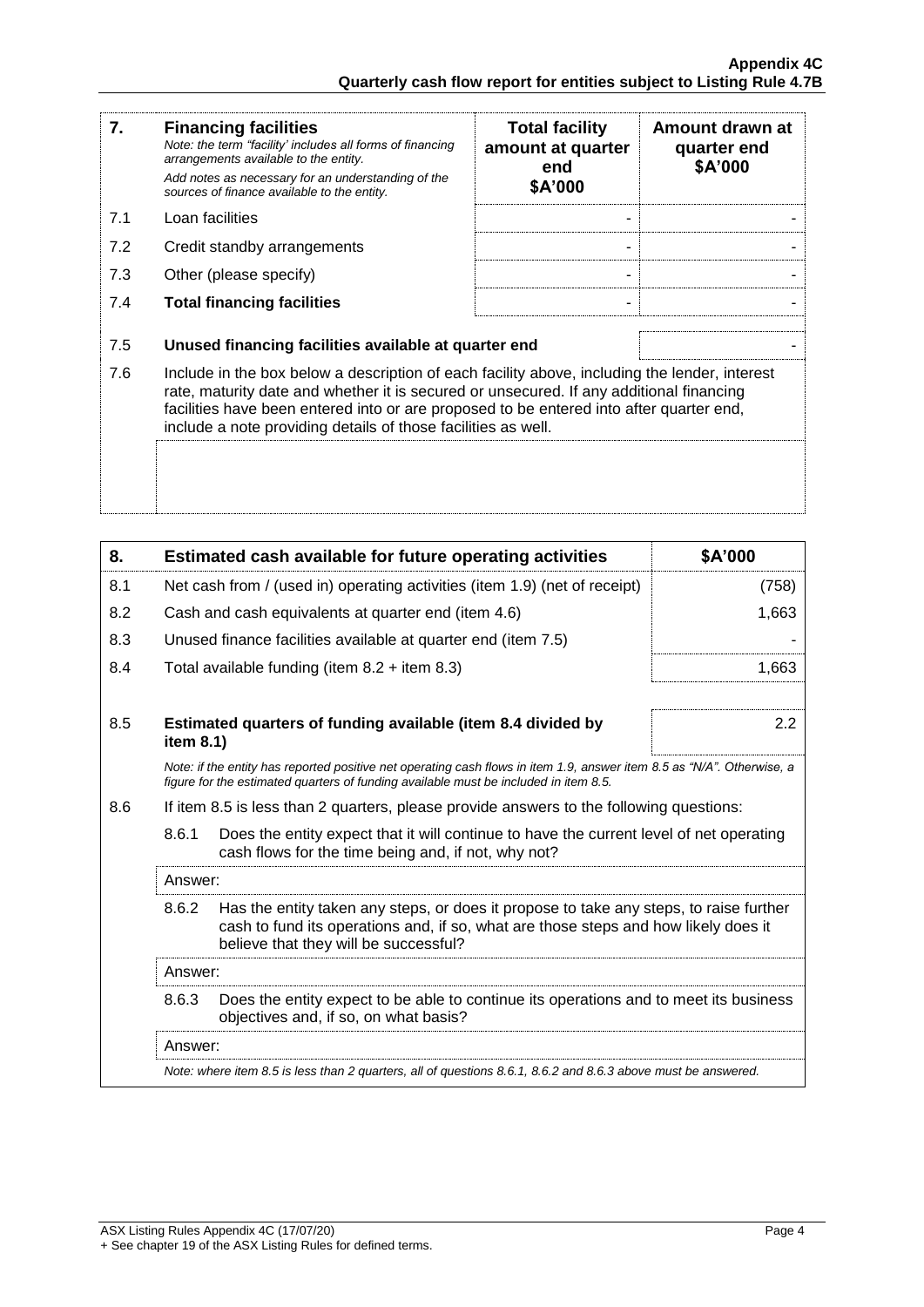| 7.  | <b>Financing facilities</b><br>Note: the term "facility' includes all forms of financing<br>arrangements available to the entity.<br>Add notes as necessary for an understanding of the<br>sources of finance available to the entity.                                                                                                               | <b>Total facility</b><br>amount at quarter<br>end<br>\$A'000 | Amount drawn at<br>quarter end<br>\$A'000 |
|-----|------------------------------------------------------------------------------------------------------------------------------------------------------------------------------------------------------------------------------------------------------------------------------------------------------------------------------------------------------|--------------------------------------------------------------|-------------------------------------------|
| 7.1 | Loan facilities                                                                                                                                                                                                                                                                                                                                      |                                                              |                                           |
| 7.2 | Credit standby arrangements                                                                                                                                                                                                                                                                                                                          |                                                              |                                           |
| 7.3 | Other (please specify)                                                                                                                                                                                                                                                                                                                               |                                                              |                                           |
| 7.4 | <b>Total financing facilities</b>                                                                                                                                                                                                                                                                                                                    |                                                              |                                           |
| 7.5 | Unused financing facilities available at quarter end                                                                                                                                                                                                                                                                                                 |                                                              |                                           |
| 7.6 | Include in the box below a description of each facility above, including the lender, interest<br>rate, maturity date and whether it is secured or unsecured. If any additional financing<br>facilities have been entered into or are proposed to be entered into after quarter end,<br>include a note providing details of those facilities as well. |                                                              |                                           |
|     |                                                                                                                                                                                                                                                                                                                                                      |                                                              |                                           |

| 8.  |                                                                                                                                                                                                                                 | Estimated cash available for future operating activities                                                                                                                                                       | \$A'000 |
|-----|---------------------------------------------------------------------------------------------------------------------------------------------------------------------------------------------------------------------------------|----------------------------------------------------------------------------------------------------------------------------------------------------------------------------------------------------------------|---------|
| 8.1 | Net cash from / (used in) operating activities (item 1.9) (net of receipt)                                                                                                                                                      |                                                                                                                                                                                                                | (758)   |
| 8.2 |                                                                                                                                                                                                                                 | Cash and cash equivalents at quarter end (item 4.6)                                                                                                                                                            | 1,663   |
| 8.3 |                                                                                                                                                                                                                                 | Unused finance facilities available at quarter end (item 7.5)                                                                                                                                                  |         |
| 8.4 |                                                                                                                                                                                                                                 | Total available funding (item $8.2 +$ item $8.3$ )                                                                                                                                                             | 1,663   |
|     |                                                                                                                                                                                                                                 |                                                                                                                                                                                                                |         |
| 8.5 | item 8.1)                                                                                                                                                                                                                       | Estimated quarters of funding available (item 8.4 divided by                                                                                                                                                   | 2.2     |
|     |                                                                                                                                                                                                                                 | Note: if the entity has reported positive net operating cash flows in item 1.9, answer item 8.5 as "N/A". Otherwise, a<br>figure for the estimated quarters of funding available must be included in item 8.5. |         |
| 8.6 | If item 8.5 is less than 2 quarters, please provide answers to the following questions:                                                                                                                                         |                                                                                                                                                                                                                |         |
|     | 8.6.1<br>Does the entity expect that it will continue to have the current level of net operating<br>cash flows for the time being and, if not, why not?                                                                         |                                                                                                                                                                                                                |         |
|     | Answer:                                                                                                                                                                                                                         |                                                                                                                                                                                                                |         |
|     | 8.6.2<br>Has the entity taken any steps, or does it propose to take any steps, to raise further<br>cash to fund its operations and, if so, what are those steps and how likely does it<br>believe that they will be successful? |                                                                                                                                                                                                                |         |
|     | Answer:                                                                                                                                                                                                                         |                                                                                                                                                                                                                |         |
|     | 8.6.3                                                                                                                                                                                                                           | Does the entity expect to be able to continue its operations and to meet its business<br>objectives and, if so, on what basis?                                                                                 |         |
|     | Answer:                                                                                                                                                                                                                         |                                                                                                                                                                                                                |         |
|     | Note: where item 8.5 is less than 2 quarters, all of questions 8.6.1, 8.6.2 and 8.6.3 above must be answered.                                                                                                                   |                                                                                                                                                                                                                |         |